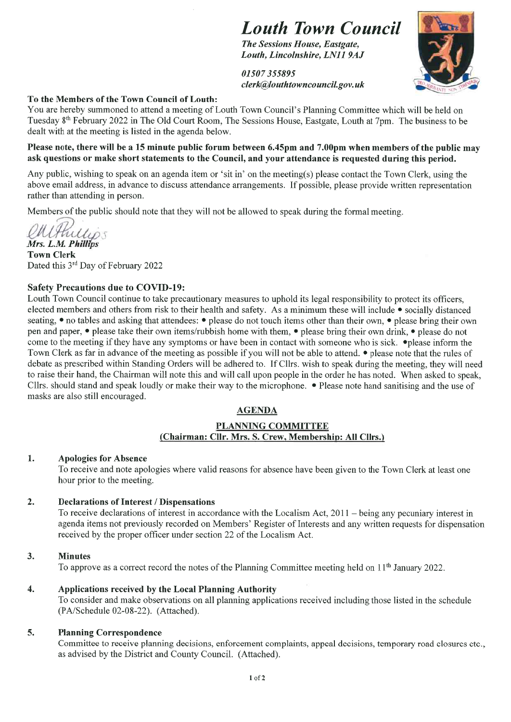### Louth Town Council

The Sessions House, Eastgate, Louth, Lincolnshire, LN11 9AJ

01507355895 clerk@Iouthtowncouncil.gov. uk



### To the Members of the Town Council of Louth:

You are hereby summoned to attend a meeting of Louth Town Council's Planning Committee which will be held on Tuesday 8th Febmary 2022 in The Old Court Room, The Sessions House, Eastgate, Louth at 7pm. The business to be dealt with at the meeting is listed in the agenda below.

### Please note, there will be a 15 minute public forum between 6.45pm and 7.00pm when members of the public may ask questions or make short statements to the Council, and your attendance is requested during this period.

Any public, wishing to speak on an agenda item or 'sit in' on the meeting(s) please contact the Town Clerk, using the above email address, in advance to discuss attendance arrangements. If possible, please provide written representation rather than attending in person.

Members of the public should note that they will not be allowed to speak during the formal meeting.

Fullips

Mrs. L.M. Philips Town Clerk Dated this 3<sup>rd</sup> Day of February 2022

### Safety Precautions due to COVID-19:

Louth Town Council continue to take precautionary measures to uphold its legal responsibility to protect its officers, elected members and others from risk to their health and safety. As a minimum these will include • socially distanced seating, • no tables and asking that attendees: • please do not touch items other than their own, • please bring their own pen and paper, • please take their own items/rubbish home with them, • please bring their own drink, • please do not come to the meeting if they have any symptoms or have been in contact with someone who is sick.  $\bullet$  please inform the Town Clerk as far in advance of the meeting as possible if you will not be able to attend. • please note that the mles of debate as prescribed within Standing Orders will be adhered to. If Cllrs. wish to speak during the meeting, they will need to raise their hand, the Chairman will note this and will call upon people in the order he has noted. When asked to speak, Cllrs. should stand and speak loudly or make their way to the microphone. • Please note hand sanitising and the use of masks are also still encouraged.

### AGENDA

### PLANNING COMMITTEE (Chairman: Cllr. Mrs. S. Crew, Membership: All CIlrs.)

### 1. Apologies for Absence

To receive and note apologies where valid reasons for absence have been given to the Town Clerk at least one hour prior to the meeting.

### 2. Declarations of Interest / Dispensations

To receive declarations of interest in accordance with the Localism Act, 2011 - being any pecuniary interest in agenda items not previously recorded on Members' Register of Interests and any written requests for dispensation received by the proper officer under section 22 of the Localism Act.

### 3. Minutes

To approve as a correct record the notes of the Planning Committee meeting held on 11<sup>th</sup> January 2022.

### 4. Applications received by the Local Planning Authority

To consider and make observations on all planning applications received including those listed in the schedule (PA/Schedule 02-08-22). (Attached).

### 5. Planning Correspondence

Committee to receive planning decisions, enforcement complaints, appeal decisions, temporary road closures etc., as advised by the District and County Council. (Attached).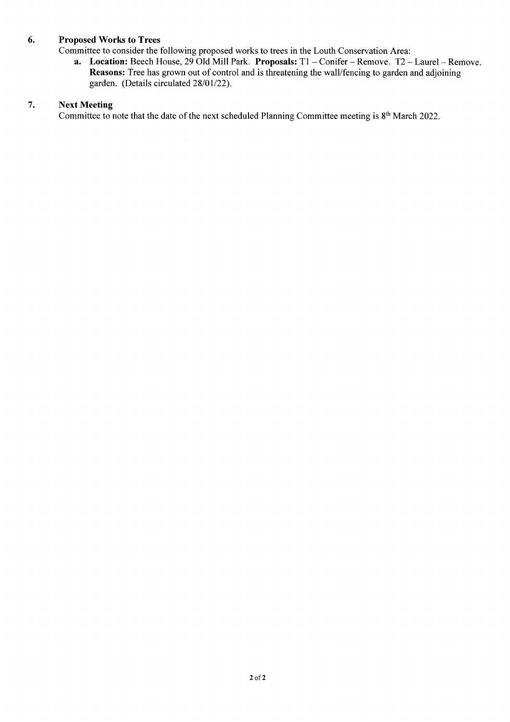### 6. Proposed Works to Trees

Committee to consider the following proposed works to trees in the Louth Conservation Area:

a. Location: Beech House, 29 Old Mill Park. Proposals: T1 - Conifer - Remove. T2 - Laurel - Remove. Reasons: Tree has grown out of control and is threatening the wall/fencing to garden and adjoining garden. (Details circulated 28/01/22).

### 7. Next Meeting

Committee to note that the date of the next scheduled Planning Committee meeting is 8<sup>th</sup> March 2022.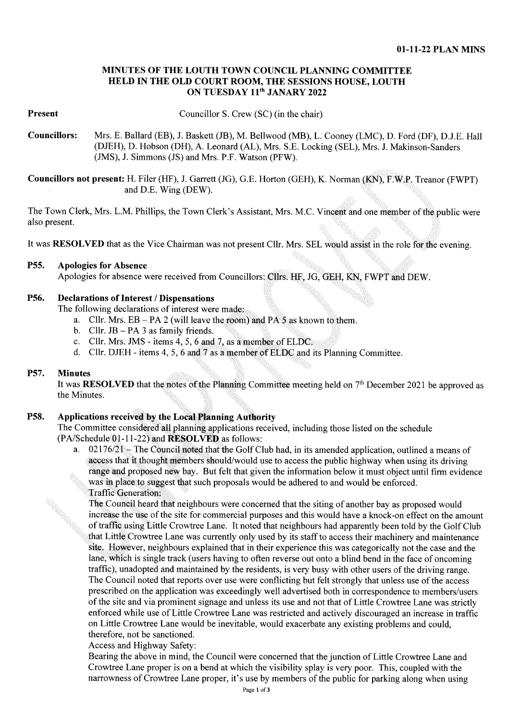### MINUTES OF THE LOUTH TOWN COUNCIL PLANNING COMMITTEE HELD IN THE OLD COURT ROOM, THE SESSIONS HOUSE, LOUTH ON TUESDAY 11<sup>th</sup> JANARY 2022

### Present

Councillor S. Crew (SC) (in the chair)

Councillors: Mrs. E. Ballard (EB), J. Baskett (JB), M. Bellwood (MB), L. Cooney (LMC), D. Ford (DF), D.J.E. Hall (DJEH), D. Hobson (DH), A. Leonard (AL), Mrs. S.E. Locking (SEL), Mrs. J. Makinson-Sanders (JMS), J. Simmons (JS) and Mrs. P.F. Watson (PFW).

Councillors not present: H. Filer (HF), J. Garrett (JG), G.E. Horton (GEH), K. Norman (KN), F.W.P.Treanor (FWPT) and D.E. Wing (DEW).

The Town Clerk, Mrs. L.M. Phillips, the Town Clerk's Assistant, Mrs. M.C. Vincent and one member of the public were also present.

It was RESOLVED that as the Vice Chairman was not present Cllr. Mrs. SEL would assist in the role for the evening.

### P55. Apologies for Absence ^^^^^^^^ ^

Apologies for absence were received from Councillors: Cllrs. HF, JG, GEH, KN, FWPT and DEW.

### P56. Declarations of Interest / Dispensations

The following declarations of interest were made:

- a. Cllr. Mrs.  $EB PA$  2 (will leave the room) and PA 5 as known to them.<br>b. Cllr. JB PA 3 as family friends.
- 
- c. Cllr. Mrs. JMS items  $4, 5, 6$  and  $7$ , as a member of ELDC.
- d. Cllr. DJEH items 4, 5, 6 and 7 as a member of ELDC and its Planning Committee.

### P57. Minutes

It was RESOLVED that the notes of the Planning Committee meeting held on 7<sup>th</sup> December 2021 be approved as the Minutes.

### P58. Applications received by the Local Planning Authority

The Committee consideredall planning applications received, including those listed on the schedule (PA/Schedule 01-11-22) and RESOLVED as follows:

a. 02176/21 – The Council noted that the Golf Club had, in its amended application, outlined a means of access that it thought members should/would use to access the public highway when using its driving range and proposed new bay. But felt that given the information below it must object until firm evidence was in place to suggest that such proposals would be adhered to and would be enforced. Traffic Generation:

The Council heard that neighbours were concerned that the siting of another bay as proposed would increase the use of the site for commercial purposes and this would have a knock-on effect on the amount of traffic using Little Crowtree Lane. It noted that neighbours had apparently been told by the Golf Club that Little Crowtree Lane was currently only used by its staff to access their machinery and maintenance site. However, neighbours explained that in their experience this was categorically not the case and the lane, which is single track (users having to often reverse out onto a blind bend in the face of oncoming traffic), unadopted and maintained by the residents, is very busy with other users of the driving range. The Council noted that reports over use were conflicting but felt strongly that unless use of the access prescribed on the application was exceedingly well advertised both in correspondence to members/users of the site and via prominent signage and unless its use and not that of Little Crowtree Lane was strictly enforced while use of Little Crowtree Lane was restricted and actively discouraged an increase in traffic on Little Crowtree Lane would be inevitable, would exacerbate any existing problems and could, therefore, not be sanctioned.

Access and Highway Safety:

Bearing the above in mind, the Council were concerned that the junction of Little Crowtree Lane and Crowtree Lane proper is on a bend at which the visibility splay is very poor. This, coupled with the narrowness of Crowtree Lane proper, it's use by members of the public for parking along when using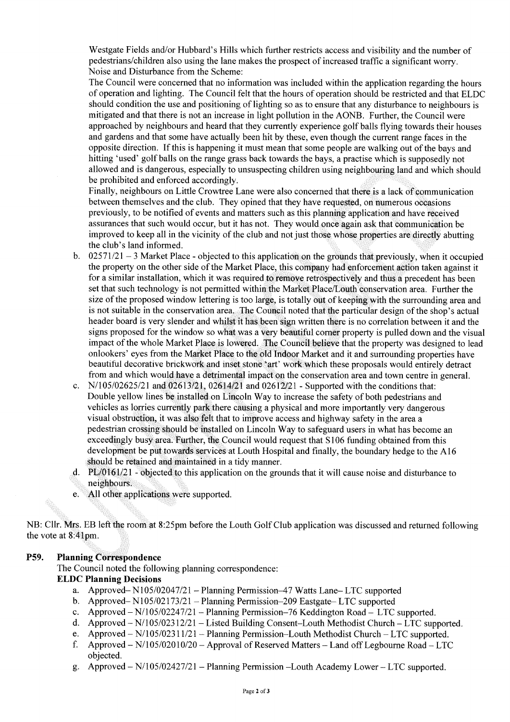Westgate Fields and/or Hubbard's Hills which further restricts access and visibility and the number of pedestrians/children also using the lane makes the prospect of increased traffic a significant worry. Noise and Disturbance from the Scheme:

The Council were concerned that no information was included within the application regarding the hours of operation and lighting. The Council felt that the hours of operation should be restricted and that ELDC should condition the use and positioning of lighting so as to ensure that any disturbance to neighbours is mitigated and that there is not an increase in light pollution in the AONB. Further, the Council were approached by neighbours and heard that they currently experience golf balls flying towards their houses and gardens and that some have actually been hit by these, even though the current range faces in the opposite direction. If this is happening it must mean that some people are walking out of the bays and hitting 'used' golf balls on the range grass back towards the bays, a practise which is supposedly not allowed and is dangerous, especially to unsuspecting children using neighbouring land and which should be prohibited and enforced accordingly.

Finally, neighbours on Little Crowtree Lane were also concerned that there is a lack of communication between themselves and the club. They opined that they have requested, on numerous occasions previously, to be notified of events and matters such as this planning application and have received assurances that such would occur, but it has not. They would once again ask that communication be improved to keep all in the vicinity of the club and not just those whose properties are directly abutting the club's land informed.

- b.  $02571/21 3$  Market Place objected to this application on the grounds that previously, when it occupied the property on the other side of the Market Place, this company had enforcement action taken against it for a similar installation, which it was required to remove retrospectively and thus a precedent has been set that such technology is not pennitted within the Market Place/Louth eonservation area. Further the size of the proposed window lettering is too large, is totally but of keeping with the surrounding area and is not suitable in the conservation area. The Council noted that the particular design of the shop's actual header board is very slender and whilst it has been sign written there is no correlation between it and the signs proposed for the window so what was a very beautiful comer property is pulled down and the visual impact of the whole Market Place is lowered. The Council believe that the property was designed to lead onlookers' eyes from the Market Place to the old Indoor Market and it and surrounding properties have beautiful decorative brickwork and inset stone 'art' work which these proposals would entirely detract from and which would have a detrimental impact on the conservation area and town centre in general.
- c. N/l 05/02625/21 and 02613/21, 02614/21 and 02612/21 Supported with the conditions that: Double yellow lines be installed on Lincoln Way to increase the safety of both pedestrians and vehicles as lorries currently park there causing a physical and more importantly very dangerous visual obstruction, it was also felt that to improve access and highway safety in the area a pedestrian crossing should be installed on Lincoln Way to safeguard users in what has become an exceedingly busy area. Further, the Council would request that S 106 funding obtained from this development be put towards services at Louth Hospital and finally, the boundary hedge to the A16 should be retained and maintained in a tidy manner.
- d. PL/0161/21 objected to this application on the grounds that it will cause noise and disturbance to neighbours.
- e. All other applications were supported.

NB: Cllr. Mrs. EB left the room at 8:25pm before the Louth Golf Club application was discussed and returned following the vote at 8:41pm.

### P59. Planning Correspondence

e.

The Council noted the following planning correspondence:

### ELDC Planning Decisions

- a. Approved-N105/02047/21 Planning Permission-47 Watts Lane-LTC supported
- b. Approved-N105/02173/21 Planning Permission-209 Eastgate- LTC supported
- c. Approved N/105/02247/21 Planning Permission-76 Keddington Road LTC supported.
- d. Approved N/105/02312/21 Listed Building Consent-Louth Methodist Church LTC supported.
- e. Approved N/105/0231 1/21 Planning Permission-Louth Methodist Church LTC supported.
- f. Approved  $N/105/02010/20 -$  Approval of Reserved Matters  $-$  Land off Legbourne Road  $-$  LTC objected.
- g. Approved N/l 05/02427/2 1 Planning Permission -Louth Academy Lower LTC supported.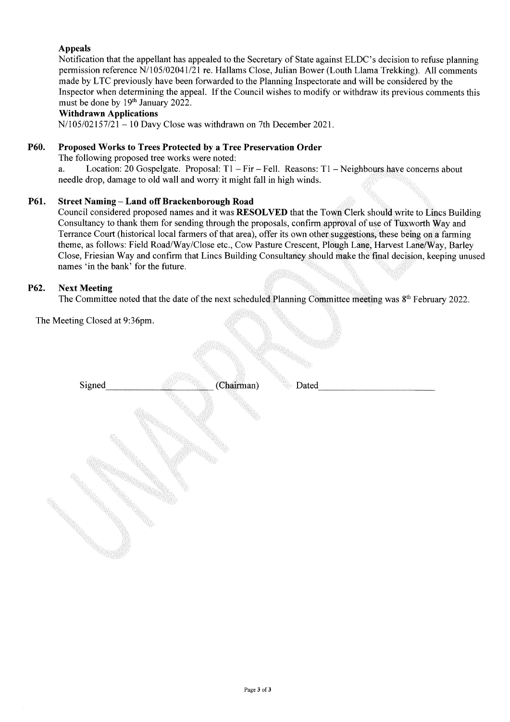### Appeals

Notification that the appellant has appealed to the Secretary of State against ELDC's decision to refuse planning permission reference N/l 05/02041/21 re. Hallams Close, Julian Bower (Louth Llama Trekking). All comments made by LTC previously have been forwarded to the Planning Inspectorate and will be considered by the Inspector when determining the appeal. If the Council wishes to modify or withdraw its previous comments this must be done by 19th January 2022.

### Withdrawn Applications

 $N/105/02157/21 - 10$  Davy Close was withdrawn on 7th December 2021.

### P60. Proposed Works to Trees Protected by a Tree Preservation Order

The following proposed tree works were noted:

a. Location: 20 Gospelgate. Proposal:  $T1 - Fir - Fell$ . Reasons:  $T1 - Neighbors$  have concerns about needle drop, damage to old wall and worry it might fall in high winds.

### P61. Street Naming - Land off Brackenborough Road

Council considered proposed names and it was **RESOLVED** that the Town Clerk should write to Lincs Building Consultancy to thank them for sending through the proposals, confirm approval of use of Tuxworth Way and Terrance Court (historical local farmers of that area), offer its own other suggestions, these being on a farming theme, as follows: Field Road/Way/Close etc., Cow Pasture Crescent, Plough Lane, Harvest Lane/Way, Barley Close, Friesian Way and confinn that Lines Building Consultancy should make the final decision, keeping unused names 'in the bank' for the future.

### P62. Next Meeting

The Committee noted that the date of the next scheduled Planning Committee meeting was  $8<sup>th</sup>$  February 2022.

The Meeting Closed at 9:36pm.

|        |            | -1645      |  |
|--------|------------|------------|--|
| Signed | (Chairman) | Dated<br>ę |  |
|        |            |            |  |
|        |            |            |  |
|        |            |            |  |
|        |            |            |  |
|        |            |            |  |
|        |            |            |  |
|        |            |            |  |
|        |            |            |  |
|        |            |            |  |
|        |            |            |  |
|        |            |            |  |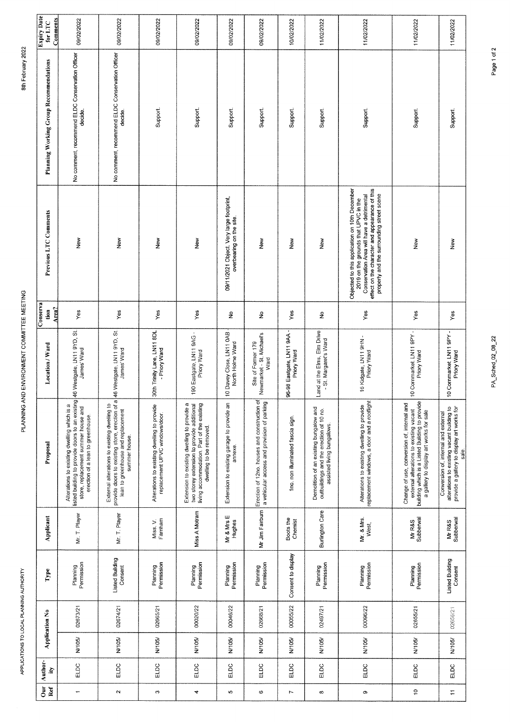| <b>Expiry Date</b><br>Comments<br>for LTC | 09/02/2022                                                                                                                                                                 | 09/02/2022                                                                                                                                            | 09/02/2022                                                                    | 09/02/2022                                                                                                                                                         | 09/02/2022                                                           | 09/02/2022                                                                                  | 10/02/2022                              | 11/02/2022                                                                                                      | 11/02/2022                                                                                                                                                                                                                        | 11/02/2022                                                                                                                                                                         | 11/02/2022                                                                                                                                |
|-------------------------------------------|----------------------------------------------------------------------------------------------------------------------------------------------------------------------------|-------------------------------------------------------------------------------------------------------------------------------------------------------|-------------------------------------------------------------------------------|--------------------------------------------------------------------------------------------------------------------------------------------------------------------|----------------------------------------------------------------------|---------------------------------------------------------------------------------------------|-----------------------------------------|-----------------------------------------------------------------------------------------------------------------|-----------------------------------------------------------------------------------------------------------------------------------------------------------------------------------------------------------------------------------|------------------------------------------------------------------------------------------------------------------------------------------------------------------------------------|-------------------------------------------------------------------------------------------------------------------------------------------|
| Planning Working Group Recommendations    | No comment, recommend ELDC Conservation Officer<br>decide.                                                                                                                 | No comment, recommend ELDC Conservation Officer<br>decide.                                                                                            | Support.                                                                      | Support                                                                                                                                                            | Support                                                              | Support.                                                                                    | Support.                                | Support                                                                                                         | Support.                                                                                                                                                                                                                          | Support.                                                                                                                                                                           | Support.                                                                                                                                  |
| Previous LTC Comments                     | New                                                                                                                                                                        | New                                                                                                                                                   | New                                                                           | New                                                                                                                                                                | 09/11/2021 Object. Very large footprint,<br>overbearing on the site. | New                                                                                         | New                                     | New                                                                                                             | Objected to this application on 10th December<br>effect on the character and appearance of this<br>Conservation Area will have a detrimental<br>property and the surrounding street scene<br>2019 on the grounds that UPVC in the | New                                                                                                                                                                                | New                                                                                                                                       |
| Conserva<br>Area?<br>tion                 | Yes                                                                                                                                                                        | Yes                                                                                                                                                   | Yes                                                                           | Yes                                                                                                                                                                | ş                                                                    | ž                                                                                           | Yes                                     | $\hat{\mathbf{z}}$                                                                                              | Yes                                                                                                                                                                                                                               | Yes                                                                                                                                                                                | Yes                                                                                                                                       |
| Location / Ward                           | 46 Westgate, LN11 9YD, St.<br>James' Ward                                                                                                                                  | 46 Westgate, LN11 9YD, St.<br>James' Ward                                                                                                             | 30th Trinity Lane, LN11 8DL<br>- Priory Ward                                  | 190 Eastgate, LN11 9AG -<br>Priory Ward                                                                                                                            | 10 Davey Close, LN11 0AB<br>North Holme Ward                         | Newmarket - St. Michael's<br>Site of Former 179<br>Ward                                     | 96-98 Eastgate, LN11 9AA<br>Priory Ward | Land at the Elms, Elm Drive<br>- St. Margaret's Ward                                                            | 16 Kidgate, LN11 9HN -<br>Priory Ward                                                                                                                                                                                             | 10 Commarket, LN11 9PY -<br>Priory Ward                                                                                                                                            | 10 Commarket, LN11 9PY -<br>Priory Ward                                                                                                   |
| Proposal                                  | listed building to provide doors to an existing<br>Alterations to existing dwelling which is a<br>store, replacement summer house and<br>erection of a lean to greenhouse. | provide doors to existing store, erection of a<br>External alterations to existing dwelling to<br>lean to greenhouse and replacement<br>summer house. | Alterations to existing dwelling to provide<br>replacement UPVC windows/door. | Extension to existing dwelling to provide a<br>living accommodation. Part of the existing<br>two storey extension to provide additional<br>dwelling to be removed. | Extension to existing garage to provide an<br>annexe.                | Erection of 12no. houses and construction of<br>a vehicular access and provision of parking | 1no. non illuminated fascia sign.       | Demolition of an existing bungalow and<br>outbuildings and the erection of 10 no.<br>assisted living bungalows. | replacement windows, a door and a rooflight<br>Alterations to existing dwelling to provide                                                                                                                                        | external alterations to existing vacant<br>building which is a Listed Building to provide<br>Change of use, conversion of, internal and<br>a gallery to display art works for sale | alterations to existing vacant building to<br>provide a gallery to display art works for<br>Conversion of, internal and external<br>sale. |
| Applicant                                 | Mr. T. Player                                                                                                                                                              | Mr. T. Player                                                                                                                                         | Famham<br>Miss. V.                                                            | Miss A Motram                                                                                                                                                      | Mr & Mrs E<br>Hughes                                                 | Mr Jim Fairbum                                                                              | Boots the<br>Chemist                    | <b>Burlington Care</b>                                                                                          | Mr. & Mrs.<br>West,                                                                                                                                                                                                               | Subberwal<br>Mr R&S                                                                                                                                                                | Subberwal<br>Mr R&S                                                                                                                       |
| Type                                      | Planning<br>Permission                                                                                                                                                     | <b>Listed Building</b><br>Consent                                                                                                                     | Permission<br>Planning                                                        | Permission<br>Planning                                                                                                                                             | Permission<br>Planning                                               | Planning<br>Permission                                                                      | Consent to display                      | Permission<br>Planning                                                                                          | Permission<br>Planning                                                                                                                                                                                                            | Permission<br>Planning                                                                                                                                                             | <b>Listed Building</b><br>Consent                                                                                                         |
|                                           | 02673/21                                                                                                                                                                   | 02674/21                                                                                                                                              | 02665/21                                                                      | 00020/22                                                                                                                                                           | 00046/22                                                             | 02668/21                                                                                    | 00055/22                                | 02497/21                                                                                                        | 00096/22                                                                                                                                                                                                                          | 02655/21                                                                                                                                                                           | 02656/21                                                                                                                                  |
| <b>Application No</b>                     | N/105/                                                                                                                                                                     | N/105/                                                                                                                                                | N/105/                                                                        | N/105/                                                                                                                                                             | N/105/                                                               | N/105/                                                                                      | N/105/                                  | N/105/                                                                                                          | N/105/                                                                                                                                                                                                                            | N/105/                                                                                                                                                                             | N/105/                                                                                                                                    |
| Author-<br>ğ,                             | ELDC                                                                                                                                                                       | ELDC                                                                                                                                                  | ELDC                                                                          | ELDC                                                                                                                                                               | ELDC                                                                 | ELDC                                                                                        | ELDC                                    | ELDC                                                                                                            | ELDC                                                                                                                                                                                                                              | ELDC                                                                                                                                                                               | ELDC                                                                                                                                      |
| ā<br>Ref                                  | ÷                                                                                                                                                                          | $\sim$                                                                                                                                                | ო                                                                             | 4                                                                                                                                                                  | Ю                                                                    | 6                                                                                           | L                                       | $^{\circ}$                                                                                                      | თ                                                                                                                                                                                                                                 | $\overline{c}$                                                                                                                                                                     | Ξ                                                                                                                                         |

PA\_Sched\_02\_08\_22

Page 1 of 2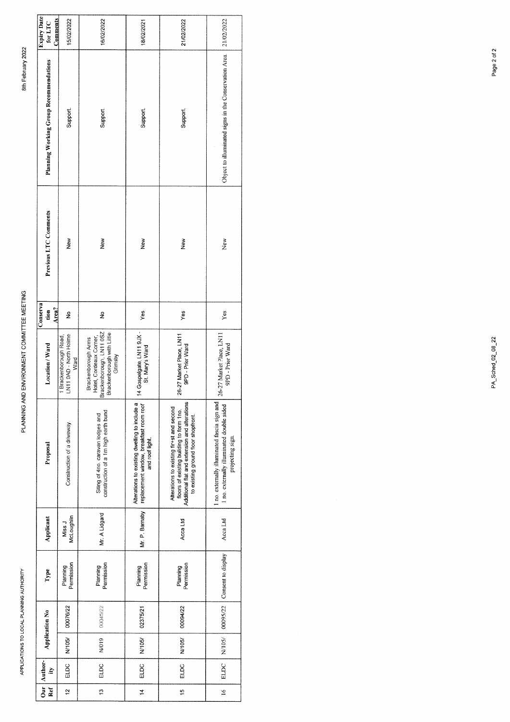| <b>Expiry Date</b><br>Comments<br>for LTC     | 15/02/2022                                              | 16/02/2022                                                                                                          | 18/02/2021                                                                                                  | 21/02/2022                                                                                                                                                                    | 21/02/2022                                                                                                    |
|-----------------------------------------------|---------------------------------------------------------|---------------------------------------------------------------------------------------------------------------------|-------------------------------------------------------------------------------------------------------------|-------------------------------------------------------------------------------------------------------------------------------------------------------------------------------|---------------------------------------------------------------------------------------------------------------|
| <b>Planning Working Group Recommendations</b> | Support.                                                | Support.                                                                                                            | Support.                                                                                                    | Support.                                                                                                                                                                      | Object to illuminated signs in the Conservation Area.                                                         |
| Previous LTC Comments                         | New                                                     | New                                                                                                                 | New                                                                                                         | New                                                                                                                                                                           | New                                                                                                           |
| Conserva<br>Area?<br>tion                     | $\frac{9}{2}$                                           | ş                                                                                                                   | Yes                                                                                                         | Yes                                                                                                                                                                           | Yes                                                                                                           |
| Location / Ward                               | LN11 0AD - North Holme<br>1 Brackenborough Road<br>Ward | irackenborough, LN11 0SZ<br>Brackenborough with Little<br>Grimsby<br>Hotel, Cordeaux Corner,<br>Brackenborough Arms | 14 Gospelgate, LN11 9JX -<br>St. Mary's Ward                                                                | 26-27 Market Place, LN11<br>9PD - Prior Ward                                                                                                                                  | 26-27 Market Place, LN11<br>9PD - Prior Ward                                                                  |
| Proposal                                      | Construction of a driveway.                             | construction of a 1m high earth bund<br>Siting of 4no. caravan lodges and                                           | Alterations to existing dwelling to include a<br>replacement window, breakfast room roof<br>and roof light. | Additional flat and extension and alterations<br>Alterations to existing fir+st and second<br>floors of existing building to form 1no.<br>to existing ground floor shopfront. | 1 no. externally illuminated fascia sign and<br>1 no. externally illuminated double sided<br>projecting sign. |
| Applicant                                     | McLoughlin<br>Miss J                                    | Mr. A Lidgard                                                                                                       | Mr. P. Barnaby                                                                                              | Acca Ltd                                                                                                                                                                      | Acca Ltd                                                                                                      |
| Type                                          | Permission<br>Planning                                  | Planning<br>Permission                                                                                              | Permission<br>Planning                                                                                      | Permission<br>Planning                                                                                                                                                        | Consent to display                                                                                            |
| <b>Application No</b>                         | 00076/22                                                | 00045/22                                                                                                            | 02375/21                                                                                                    | 00094/22                                                                                                                                                                      | 00095/22                                                                                                      |
|                                               | N/105/                                                  | N/019                                                                                                               | N/105/                                                                                                      | N/105/                                                                                                                                                                        | N/105/                                                                                                        |
| Author-<br>È                                  | ELDC                                                    | ELDC                                                                                                                | ELDC                                                                                                        | ELDC                                                                                                                                                                          | <b>ELDC</b>                                                                                                   |
| $\frac{1}{\sigma}$<br>Ref                     | $\tilde{a}$                                             | ä,                                                                                                                  | $\frac{4}{1}$                                                                                               | 15                                                                                                                                                                            | $\leq$                                                                                                        |